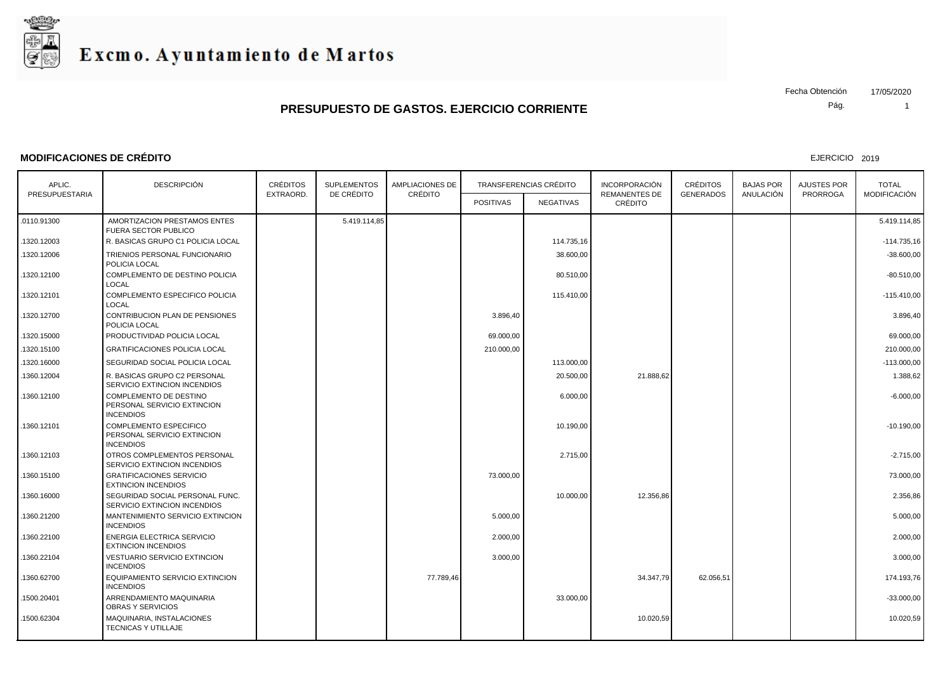

#### **MODIFICACIONES DE CRÉDITO**

EJERCICIO 2019

| APLIC.         | <b>DESCRIPCIÓN</b>                                                               | <b>CRÉDITOS</b> | <b>SUPLEMENTOS</b> | <b>AMPLIACIONES DE</b><br>CRÉDITO |                  | <b>TRANSFERENCIAS CRÉDITO</b> | <b>INCORPORACIÓN</b>            | <b>CRÉDITOS</b>  | <b>BAJAS POR</b> | AJUSTES POR     | <b>TOTAL</b>        |
|----------------|----------------------------------------------------------------------------------|-----------------|--------------------|-----------------------------------|------------------|-------------------------------|---------------------------------|------------------|------------------|-----------------|---------------------|
| PRESUPUESTARIA |                                                                                  | EXTRAORD.       | DE CRÉDITO         |                                   | <b>POSITIVAS</b> | <b>NEGATIVAS</b>              | <b>REMANENTES DE</b><br>CRÉDITO | <b>GENERADOS</b> | ANULACIÓN        | <b>PRORROGA</b> | <b>MODIFICACIÓN</b> |
| .0110.91300    | AMORTIZACION PRESTAMOS ENTES<br><b>FUERA SECTOR PUBLICO</b>                      |                 | 5.419.114,85       |                                   |                  |                               |                                 |                  |                  |                 | 5.419.114,85        |
| 1320.12003     | R. BASICAS GRUPO C1 POLICIA LOCAL                                                |                 |                    |                                   |                  | 114.735,16                    |                                 |                  |                  |                 | $-114.735,16$       |
| 1320.12006     | TRIENIOS PERSONAL FUNCIONARIO<br>POLICIA LOCAL                                   |                 |                    |                                   |                  | 38.600,00                     |                                 |                  |                  |                 | $-38.600,00$        |
| 1320.12100     | COMPLEMENTO DE DESTINO POLICIA<br>LOCAL                                          |                 |                    |                                   |                  | 80.510,00                     |                                 |                  |                  |                 | $-80.510,00$        |
| 1320.12101     | COMPLEMENTO ESPECIFICO POLICIA<br>LOCAL                                          |                 |                    |                                   |                  | 115.410,00                    |                                 |                  |                  |                 | $-115.410,00$       |
| 1320.12700     | <b>CONTRIBUCION PLAN DE PENSIONES</b><br>POLICIA LOCAL                           |                 |                    |                                   | 3.896.40         |                               |                                 |                  |                  |                 | 3.896.40            |
| 1320.15000     | PRODUCTIVIDAD POLICIA LOCAL                                                      |                 |                    |                                   | 69.000,00        |                               |                                 |                  |                  |                 | 69.000,00           |
| .1320.15100    | <b>GRATIFICACIONES POLICIA LOCAL</b>                                             |                 |                    |                                   | 210.000,00       |                               |                                 |                  |                  |                 | 210.000,00          |
| .1320.16000    | SEGURIDAD SOCIAL POLICIA LOCAL                                                   |                 |                    |                                   |                  | 113.000,00                    |                                 |                  |                  |                 | $-113.000,00$       |
| 1360.12004     | R. BASICAS GRUPO C2 PERSONAL<br>SERVICIO EXTINCION INCENDIOS                     |                 |                    |                                   |                  | 20.500,00                     | 21.888,62                       |                  |                  |                 | 1.388,62            |
| 1360.12100     | COMPLEMENTO DE DESTINO<br>PERSONAL SERVICIO EXTINCION<br><b>INCENDIOS</b>        |                 |                    |                                   |                  | 6.000,00                      |                                 |                  |                  |                 | $-6.000,00$         |
| 1360.12101     | <b>COMPLEMENTO ESPECIFICO</b><br>PERSONAL SERVICIO EXTINCION<br><b>INCENDIOS</b> |                 |                    |                                   |                  | 10.190,00                     |                                 |                  |                  |                 | $-10.190,00$        |
| .1360.12103    | OTROS COMPLEMENTOS PERSONAL<br>SERVICIO EXTINCION INCENDIOS                      |                 |                    |                                   |                  | 2.715,00                      |                                 |                  |                  |                 | $-2.715,00$         |
| 1360.15100     | <b>GRATIFICACIONES SERVICIO</b><br><b>EXTINCION INCENDIOS</b>                    |                 |                    |                                   | 73.000,00        |                               |                                 |                  |                  |                 | 73.000,00           |
| .1360.16000    | SEGURIDAD SOCIAL PERSONAL FUNC.<br>SERVICIO EXTINCION INCENDIOS                  |                 |                    |                                   |                  | 10.000,00                     | 12.356,86                       |                  |                  |                 | 2.356,86            |
| 1360.21200     | MANTENIMIENTO SERVICIO EXTINCION<br><b>INCENDIOS</b>                             |                 |                    |                                   | 5.000,00         |                               |                                 |                  |                  |                 | 5.000,00            |
| .1360.22100    | ENERGIA ELECTRICA SERVICIO<br><b>EXTINCION INCENDIOS</b>                         |                 |                    |                                   | 2.000,00         |                               |                                 |                  |                  |                 | 2.000,00            |
| 1360.22104     | <b>VESTUARIO SERVICIO EXTINCION</b><br><b>INCENDIOS</b>                          |                 |                    |                                   | 3.000,00         |                               |                                 |                  |                  |                 | 3.000,00            |
| 1360.62700     | EQUIPAMIENTO SERVICIO EXTINCION<br><b>INCENDIOS</b>                              |                 |                    | 77.789,46                         |                  |                               | 34.347,79                       | 62.056,51        |                  |                 | 174.193,76          |
| 1500.20401     | ARRENDAMIENTO MAQUINARIA<br><b>OBRAS Y SERVICIOS</b>                             |                 |                    |                                   |                  | 33.000,00                     |                                 |                  |                  |                 | $-33.000,00$        |
| 1500.62304     | MAQUINARIA, INSTALACIONES<br>TECNICAS Y UTILLAJE                                 |                 |                    |                                   |                  |                               | 10.020,59                       |                  |                  |                 | 10.020,59           |
|                |                                                                                  |                 |                    |                                   |                  |                               |                                 |                  |                  |                 |                     |

Pág. Fecha Obtención 17/05/2020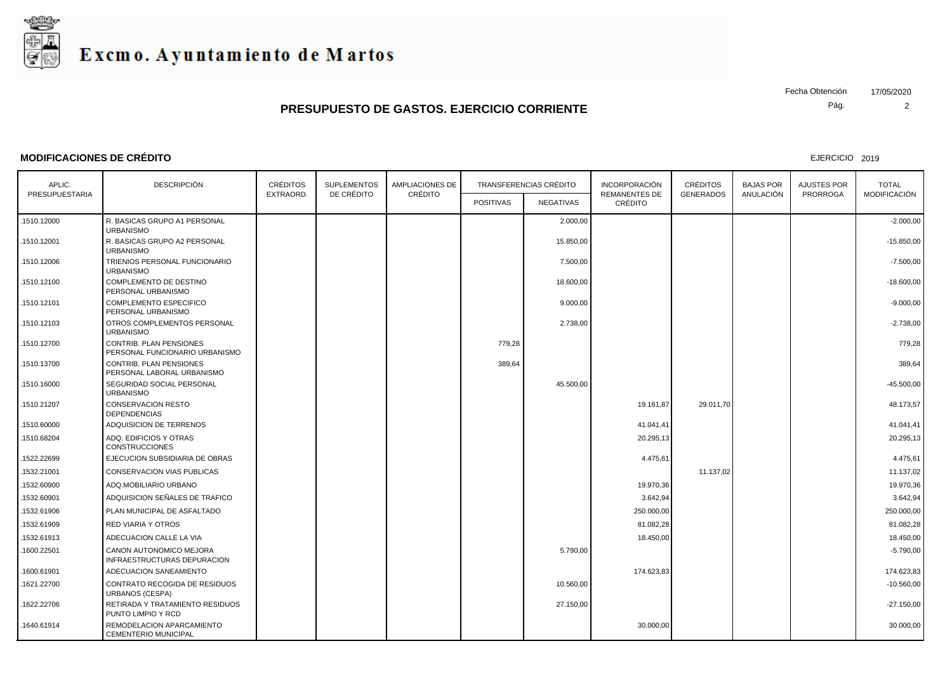

#### **MODIFICACIONES DE CRÉDITO**

EJERCICIO 2019

Pág. Fecha Obtención 17/05/2020

| APLIC.         | <b>DESCRIPCIÓN</b>                                        | <b>CRÉDITOS</b> | <b>SUPLEMENTOS</b> | AMPLIACIONES DE |                  | TRANSFERENCIAS CRÉDITO | <b>INCORPORACIÓN</b>            | <b>CRÉDITOS</b>  | <b>BAJAS POR</b> | AJUSTES POR     | <b>TOTAL</b> |  |
|----------------|-----------------------------------------------------------|-----------------|--------------------|-----------------|------------------|------------------------|---------------------------------|------------------|------------------|-----------------|--------------|--|
| PRESUPUESTARIA |                                                           | EXTRAORD.       | DE CRÉDITO         | CRÉDITO         | <b>POSITIVAS</b> | <b>NEGATIVAS</b>       | <b>REMANENTES DE</b><br>CRÉDITO | <b>GENERADOS</b> | ANULACIÓN        | <b>PRORROGA</b> | MODIFICACIÓN |  |
| .1510.12000    | R. BASICAS GRUPO A1 PERSONAL<br><b>URBANISMO</b>          |                 |                    |                 |                  | 2.000,00               |                                 |                  |                  |                 | $-2.000,00$  |  |
| .1510.12001    | R. BASICAS GRUPO A2 PERSONAL<br><b>URBANISMO</b>          |                 |                    |                 |                  | 15.850,00              |                                 |                  |                  |                 | $-15.850,00$ |  |
| 1510.12006     | TRIENIOS PERSONAL FUNCIONARIO<br><b>URBANISMO</b>         |                 |                    |                 |                  | 7.500,00               |                                 |                  |                  |                 | $-7.500,00$  |  |
| 1510.12100     | COMPLEMENTO DE DESTINO<br>PERSONAL URBANISMO              |                 |                    |                 |                  | 18.600,00              |                                 |                  |                  |                 | $-18.600,00$ |  |
| .1510.12101    | <b>COMPLEMENTO ESPECIFICO</b><br>PERSONAL URBANISMO       |                 |                    |                 |                  | 9.000,00               |                                 |                  |                  |                 | $-9.000,00$  |  |
| .1510.12103    | OTROS COMPLEMENTOS PERSONAL<br><b>URBANISMO</b>           |                 |                    |                 |                  | 2.738,00               |                                 |                  |                  |                 | $-2.738,00$  |  |
| .1510.12700    | CONTRIB. PLAN PENSIONES<br>PERSONAL FUNCIONARIO URBANISMO |                 |                    |                 | 779,28           |                        |                                 |                  |                  |                 | 779,28       |  |
| 1510.13700     | CONTRIB. PLAN PENSIONES<br>PERSONAL LABORAL URBANISMO     |                 |                    |                 | 389,64           |                        |                                 |                  |                  |                 | 389,64       |  |
| 1510.16000     | SEGURIDAD SOCIAL PERSONAL<br><b>URBANISMO</b>             |                 |                    |                 |                  | 45.500,00              |                                 |                  |                  |                 | $-45.500,00$ |  |
| .1510.21207    | <b>CONSERVACION RESTO</b><br><b>DEPENDENCIAS</b>          |                 |                    |                 |                  |                        | 19.161,87                       | 29.011,70        |                  |                 | 48.173,57    |  |
| 1510.60000     | ADQUISICION DE TERRENOS                                   |                 |                    |                 |                  |                        | 41.041,41                       |                  |                  |                 | 41.041,41    |  |
| 1510.68204     | ADQ. EDIFICIOS Y OTRAS<br><b>CONSTRUCCIONES</b>           |                 |                    |                 |                  |                        | 20.295,13                       |                  |                  |                 | 20.295,13    |  |
| 1522.22699     | EJECUCION SUBSIDIARIA DE OBRAS                            |                 |                    |                 |                  |                        | 4.475,61                        |                  |                  |                 | 4.475,61     |  |
| 1532.21001     | CONSERVACION VIAS PUBLICAS                                |                 |                    |                 |                  |                        |                                 | 11.137,02        |                  |                 | 11.137,02    |  |
| 1532.60900     | ADQ.MOBILIARIO URBANO                                     |                 |                    |                 |                  |                        | 19.970,36                       |                  |                  |                 | 19.970,36    |  |
| 1532.60901     | ADQUISICION SEÑALES DE TRAFICO                            |                 |                    |                 |                  |                        | 3.642,94                        |                  |                  |                 | 3.642,94     |  |
| 1532.61906     | PLAN MUNICIPAL DE ASFALTADO                               |                 |                    |                 |                  |                        | 250.000,00                      |                  |                  |                 | 250.000,00   |  |
| 1532.61909     | <b>RED VIARIA Y OTROS</b>                                 |                 |                    |                 |                  |                        | 81.082,28                       |                  |                  |                 | 81.082,28    |  |
| 1532.61913     | ADECUACION CALLE LA VIA                                   |                 |                    |                 |                  |                        | 18.450,00                       |                  |                  |                 | 18.450,00    |  |
| 1600.22501     | CANON AUTONOMICO MEJORA<br>INFRAESTRUCTURAS DEPURACION    |                 |                    |                 |                  | 5.790,00               |                                 |                  |                  |                 | $-5.790,00$  |  |
| 1600.61901     | ADECUACION SANEAMIENTO                                    |                 |                    |                 |                  |                        | 174.623,83                      |                  |                  |                 | 174.623,83   |  |
| 1621.22700     | CONTRATO RECOGIDA DE RESIDUOS<br><b>URBANOS (CESPA)</b>   |                 |                    |                 |                  | 10.560,00              |                                 |                  |                  |                 | $-10.560,00$ |  |
| 1622.22706     | RETIRADA Y TRATAMIENTO RESIDUOS<br>PUNTO LIMPIO Y RCD     |                 |                    |                 |                  | 27.150,00              |                                 |                  |                  |                 | $-27.150,00$ |  |
| 1640.61914     | REMODELACION APARCAMIENTO<br>CEMENTERIO MUNICIPAL         |                 |                    |                 |                  |                        | 30.000,00                       |                  |                  |                 | 30.000,00    |  |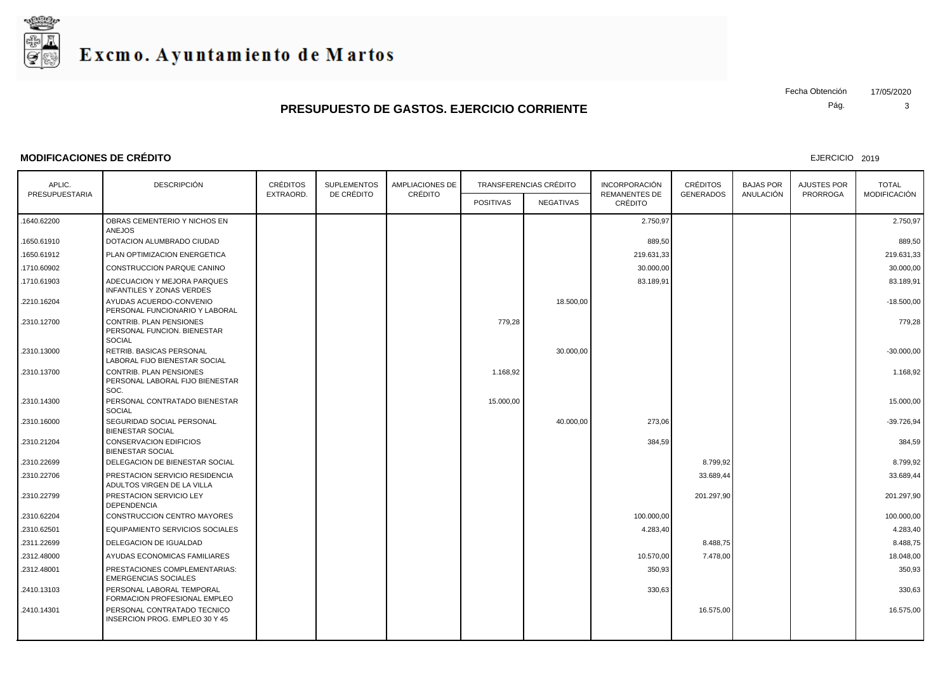

#### **MODIFICACIONES DE CRÉDITO**

EJERCICIO 2019

Pág.

| APLIC.         | <b>DESCRIPCIÓN</b>                                                             | <b>CRÉDITOS</b> | <b>SUPLEMENTOS</b> | <b>AMPLIACIONES DE</b> |                  | <b>TRANSFERENCIAS CRÉDITO</b> | <b>INCORPORACIÓN</b><br><b>REMANENTES DE</b> | <b>CRÉDITOS</b>  | <b>BAJAS POR</b> | <b>AJUSTES POR</b> | <b>TOTAL</b>        |
|----------------|--------------------------------------------------------------------------------|-----------------|--------------------|------------------------|------------------|-------------------------------|----------------------------------------------|------------------|------------------|--------------------|---------------------|
| PRESUPUESTARIA |                                                                                | EXTRAORD.       | DE CRÉDITO         | CRÉDITO                | <b>POSITIVAS</b> | <b>NEGATIVAS</b>              | CRÉDITO                                      | <b>GENERADOS</b> | ANULACIÓN        | <b>PRORROGA</b>    | <b>MODIFICACIÓN</b> |
| .1640.62200    | OBRAS CEMENTERIO Y NICHOS EN<br><b>ANEJOS</b>                                  |                 |                    |                        |                  |                               | 2.750,97                                     |                  |                  |                    | 2.750,97            |
| 1650.61910     | DOTACION ALUMBRADO CIUDAD                                                      |                 |                    |                        |                  |                               | 889,50                                       |                  |                  |                    | 889,50              |
| .1650.61912    | PLAN OPTIMIZACION ENERGETICA                                                   |                 |                    |                        |                  |                               | 219.631,33                                   |                  |                  |                    | 219.631,33          |
| 1710.60902     | CONSTRUCCION PARQUE CANINO                                                     |                 |                    |                        |                  |                               | 30.000,00                                    |                  |                  |                    | 30.000,00           |
| 1710.61903     | ADECUACION Y MEJORA PARQUES<br><b>INFANTILES Y ZONAS VERDES</b>                |                 |                    |                        |                  |                               | 83.189,91                                    |                  |                  |                    | 83.189,91           |
| .2210.16204    | AYUDAS ACUERDO-CONVENIO<br>PERSONAL FUNCIONARIO Y LABORAL                      |                 |                    |                        |                  | 18.500,00                     |                                              |                  |                  |                    | $-18.500,00$        |
| .2310.12700    | <b>CONTRIB. PLAN PENSIONES</b><br>PERSONAL FUNCION. BIENESTAR<br><b>SOCIAL</b> |                 |                    |                        | 779,28           |                               |                                              |                  |                  |                    | 779,28              |
| .2310.13000    | RETRIB. BASICAS PERSONAL<br>LABORAL FIJO BIENESTAR SOCIAL                      |                 |                    |                        |                  | 30.000,00                     |                                              |                  |                  |                    | $-30.000,00$        |
| .2310.13700    | <b>CONTRIB. PLAN PENSIONES</b><br>PERSONAL LABORAL FIJO BIENESTAR<br>SOC.      |                 |                    |                        | 1.168,92         |                               |                                              |                  |                  |                    | 1.168,92            |
| .2310.14300    | PERSONAL CONTRATADO BIENESTAR<br><b>SOCIAL</b>                                 |                 |                    |                        | 15.000,00        |                               |                                              |                  |                  |                    | 15.000,00           |
| .2310.16000    | SEGURIDAD SOCIAL PERSONAL<br><b>BIENESTAR SOCIAL</b>                           |                 |                    |                        |                  | 40.000,00                     | 273,06                                       |                  |                  |                    | $-39.726.94$        |
| .2310.21204    | <b>CONSERVACION EDIFICIOS</b><br><b>BIENESTAR SOCIAL</b>                       |                 |                    |                        |                  |                               | 384,59                                       |                  |                  |                    | 384,59              |
| .2310.22699    | DELEGACION DE BIENESTAR SOCIAL                                                 |                 |                    |                        |                  |                               |                                              | 8.799,92         |                  |                    | 8.799,92            |
| .2310.22706    | PRESTACION SERVICIO RESIDENCIA<br>ADULTOS VIRGEN DE LA VILLA                   |                 |                    |                        |                  |                               |                                              | 33.689,44        |                  |                    | 33.689,44           |
| .2310.22799    | PRESTACION SERVICIO LEY<br><b>DEPENDENCIA</b>                                  |                 |                    |                        |                  |                               |                                              | 201.297,90       |                  |                    | 201.297,90          |
| .2310.62204    | CONSTRUCCION CENTRO MAYORES                                                    |                 |                    |                        |                  |                               | 100.000,00                                   |                  |                  |                    | 100.000,00          |
| .2310.62501    | EQUIPAMIENTO SERVICIOS SOCIALES                                                |                 |                    |                        |                  |                               | 4.283,40                                     |                  |                  |                    | 4.283,40            |
| .2311.22699    | DELEGACION DE IGUALDAD                                                         |                 |                    |                        |                  |                               |                                              | 8.488,75         |                  |                    | 8.488,75            |
| .2312.48000    | AYUDAS ECONOMICAS FAMILIARES                                                   |                 |                    |                        |                  |                               | 10.570,00                                    | 7.478,00         |                  |                    | 18.048,00           |
| .2312.48001    | PRESTACIONES COMPLEMENTARIAS:<br><b>EMERGENCIAS SOCIALES</b>                   |                 |                    |                        |                  |                               | 350,93                                       |                  |                  |                    | 350,93              |
| .2410.13103    | PERSONAL LABORAL TEMPORAL<br>FORMACION PROFESIONAL EMPLEO                      |                 |                    |                        |                  |                               | 330,63                                       |                  |                  |                    | 330,63              |
| .2410.14301    | PERSONAL CONTRATADO TECNICO<br>INSERCION PROG. EMPLEO 30 Y 45                  |                 |                    |                        |                  |                               |                                              | 16.575,00        |                  |                    | 16.575,00           |
|                |                                                                                |                 |                    |                        |                  |                               |                                              |                  |                  |                    |                     |

Fecha Obtención 17/05/2020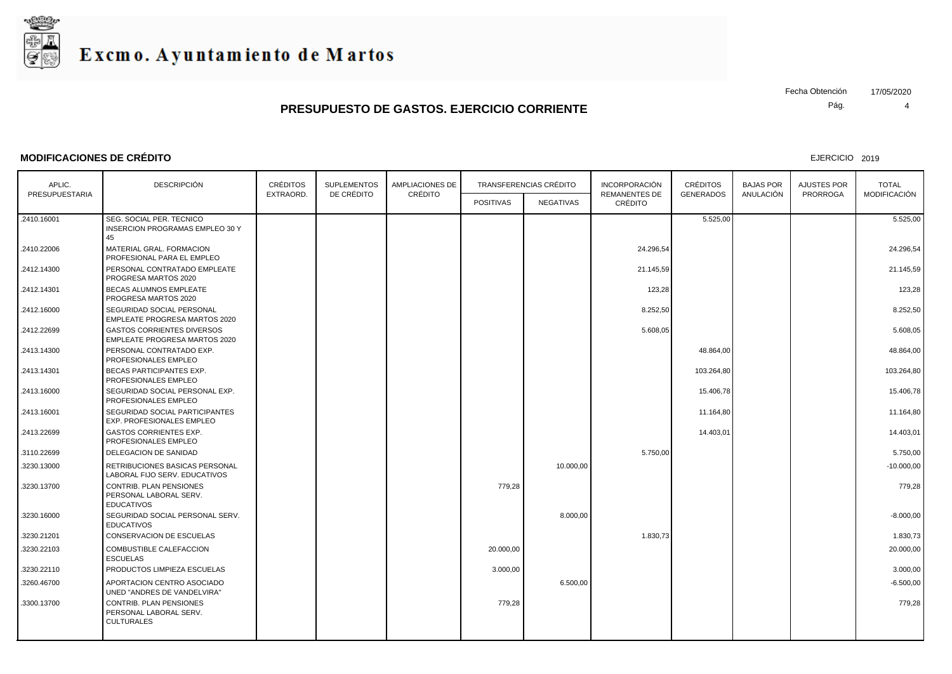

#### **MODIFICACIONES DE CRÉDITO**

EJERCICIO 2019

Pág. Fecha Obtención 17/05/2020

| APLIC.         | <b>DESCRIPCIÓN</b>                                                            | <b>CRÉDITOS</b> | <b>SUPLEMENTOS</b><br>DE CRÉDITO | <b>AMPLIACIONES DE</b><br>CRÉDITO |                  | <b>TRANSFERENCIAS CRÉDITO</b> | <b>INCORPORACIÓN</b>            | <b>CRÉDITOS</b>  | <b>BAJAS POR</b> | AJUSTES POR     | <b>TOTAL</b>        |
|----------------|-------------------------------------------------------------------------------|-----------------|----------------------------------|-----------------------------------|------------------|-------------------------------|---------------------------------|------------------|------------------|-----------------|---------------------|
| PRESUPUESTARIA |                                                                               | EXTRAORD.       |                                  |                                   | <b>POSITIVAS</b> | NEGATIVAS                     | <b>REMANENTES DE</b><br>CRÉDITO | <b>GENERADOS</b> | ANULACIÓN        | <b>PRORROGA</b> | <b>MODIFICACIÓN</b> |
| .2410.16001    | SEG. SOCIAL PER. TECNICO<br><b>INSERCION PROGRAMAS EMPLEO 30 Y</b><br>45      |                 |                                  |                                   |                  |                               |                                 | 5.525,00         |                  |                 | 5.525,00            |
| .2410.22006    | MATERIAL GRAL. FORMACION<br>PROFESIONAL PARA EL EMPLEO                        |                 |                                  |                                   |                  |                               | 24.296,54                       |                  |                  |                 | 24.296,54           |
| .2412.14300    | PERSONAL CONTRATADO EMPLEATE<br>PROGRESA MARTOS 2020                          |                 |                                  |                                   |                  |                               | 21.145,59                       |                  |                  |                 | 21.145,59           |
| .2412.14301    | BECAS ALUMNOS EMPLEATE<br>PROGRESA MARTOS 2020                                |                 |                                  |                                   |                  |                               | 123,28                          |                  |                  |                 | 123,28              |
| .2412.16000    | SEGURIDAD SOCIAL PERSONAL<br>EMPLEATE PROGRESA MARTOS 2020                    |                 |                                  |                                   |                  |                               | 8.252,50                        |                  |                  |                 | 8.252,50            |
| .2412.22699    | <b>GASTOS CORRIENTES DIVERSOS</b><br>EMPLEATE PROGRESA MARTOS 2020            |                 |                                  |                                   |                  |                               | 5.608,05                        |                  |                  |                 | 5.608,05            |
| .2413.14300    | PERSONAL CONTRATADO EXP.<br>PROFESIONALES EMPLEO                              |                 |                                  |                                   |                  |                               |                                 | 48.864,00        |                  |                 | 48.864,00           |
| .2413.14301    | <b>BECAS PARTICIPANTES EXP.</b><br>PROFESIONALES EMPLEO                       |                 |                                  |                                   |                  |                               |                                 | 103.264,80       |                  |                 | 103.264,80          |
| .2413.16000    | SEGURIDAD SOCIAL PERSONAL EXP.<br>PROFESIONALES EMPLEO                        |                 |                                  |                                   |                  |                               |                                 | 15.406,78        |                  |                 | 15.406,78           |
| .2413.16001    | SEGURIDAD SOCIAL PARTICIPANTES<br><b>EXP. PROFESIONALES EMPLEO</b>            |                 |                                  |                                   |                  |                               |                                 | 11.164,80        |                  |                 | 11.164,80           |
| .2413.22699    | <b>GASTOS CORRIENTES EXP.</b><br>PROFESIONALES EMPLEO                         |                 |                                  |                                   |                  |                               |                                 | 14.403,01        |                  |                 | 14.403,01           |
| .3110.22699    | DELEGACION DE SANIDAD                                                         |                 |                                  |                                   |                  |                               | 5.750,00                        |                  |                  |                 | 5.750,00            |
| 3230.13000     | RETRIBUCIONES BASICAS PERSONAL<br>LABORAL FIJO SERV. EDUCATIVOS               |                 |                                  |                                   |                  | 10.000.00                     |                                 |                  |                  |                 | $-10.000,00$        |
| .3230.13700    | CONTRIB. PLAN PENSIONES<br>PERSONAL LABORAL SERV.<br><b>EDUCATIVOS</b>        |                 |                                  |                                   | 779,28           |                               |                                 |                  |                  |                 | 779,28              |
| .3230.16000    | SEGURIDAD SOCIAL PERSONAL SERV.<br><b>EDUCATIVOS</b>                          |                 |                                  |                                   |                  | 8.000,00                      |                                 |                  |                  |                 | $-8.000,00$         |
| .3230.21201    | CONSERVACION DE ESCUELAS                                                      |                 |                                  |                                   |                  |                               | 1.830,73                        |                  |                  |                 | 1.830,73            |
| 3230.22103     | COMBUSTIBLE CALEFACCION<br><b>ESCUELAS</b>                                    |                 |                                  |                                   | 20.000,00        |                               |                                 |                  |                  |                 | 20.000,00           |
| .3230.22110    | PRODUCTOS LIMPIEZA ESCUELAS                                                   |                 |                                  |                                   | 3.000,00         |                               |                                 |                  |                  |                 | 3.000,00            |
| .3260.46700    | APORTACION CENTRO ASOCIADO<br>UNED "ANDRES DE VANDELVIRA"                     |                 |                                  |                                   |                  | 6.500,00                      |                                 |                  |                  |                 | $-6.500,00$         |
| .3300.13700    | <b>CONTRIB. PLAN PENSIONES</b><br>PERSONAL LABORAL SERV.<br><b>CULTURALES</b> |                 |                                  |                                   | 779,28           |                               |                                 |                  |                  |                 | 779,28              |
|                |                                                                               |                 |                                  |                                   |                  |                               |                                 |                  |                  |                 |                     |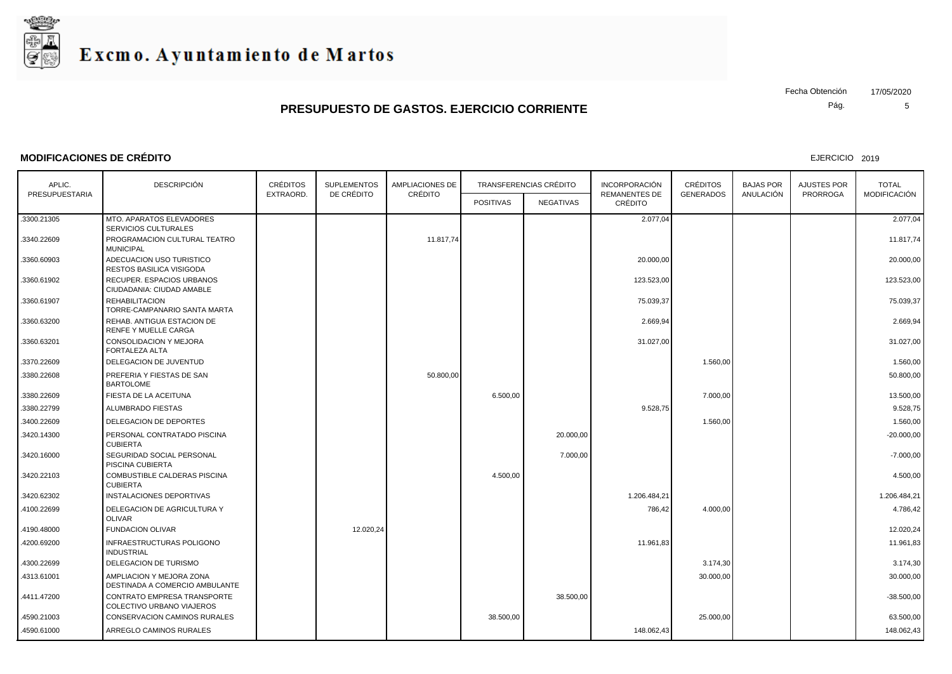

#### **MODIFICACIONES DE CRÉDITO**

EJERCICIO 2019

Pág. Fecha Obtención 17/05/2020

| APLIC.         | <b>DESCRIPCIÓN</b>                                         | <b>CRÉDITOS</b><br>EXTRAORD. | <b>SUPLEMENTOS</b><br>DE CRÉDITO | <b>AMPLIACIONES DE</b><br>CRÉDITO |                  | <b>TRANSFERENCIAS CRÉDITO</b> | <b>INCORPORACIÓN</b>            | <b>CRÉDITOS</b>  | <b>BAJAS POR</b> | <b>AJUSTES POR</b> | <b>TOTAL</b>        |
|----------------|------------------------------------------------------------|------------------------------|----------------------------------|-----------------------------------|------------------|-------------------------------|---------------------------------|------------------|------------------|--------------------|---------------------|
| PRESUPUESTARIA |                                                            |                              |                                  |                                   | <b>POSITIVAS</b> | <b>NEGATIVAS</b>              | <b>REMANENTES DE</b><br>CRÉDITO | <b>GENERADOS</b> | ANULACIÓN        | <b>PRORROGA</b>    | <b>MODIFICACIÓN</b> |
| .3300.21305    | MTO. APARATOS ELEVADORES<br>SERVICIOS CULTURALES           |                              |                                  |                                   |                  |                               | 2.077,04                        |                  |                  |                    | 2.077.04            |
| .3340.22609    | PROGRAMACION CULTURAL TEATRO<br><b>MUNICIPAL</b>           |                              |                                  | 11.817,74                         |                  |                               |                                 |                  |                  |                    | 11.817,74           |
| .3360.60903    | ADECUACION USO TURISTICO<br>RESTOS BASILICA VISIGODA       |                              |                                  |                                   |                  |                               | 20.000,00                       |                  |                  |                    | 20.000,00           |
| .3360.61902    | RECUPER. ESPACIOS URBANOS<br>CIUDADANIA: CIUDAD AMABLE     |                              |                                  |                                   |                  |                               | 123.523,00                      |                  |                  |                    | 123.523,00          |
| .3360.61907    | <b>REHABILITACION</b><br>TORRE-CAMPANARIO SANTA MARTA      |                              |                                  |                                   |                  |                               | 75.039,37                       |                  |                  |                    | 75.039,37           |
| .3360.63200    | REHAB. ANTIGUA ESTACION DE<br><b>RENFE Y MUELLE CARGA</b>  |                              |                                  |                                   |                  |                               | 2.669,94                        |                  |                  |                    | 2.669,94            |
| .3360.63201    | <b>CONSOLIDACION Y MEJORA</b><br>FORTALEZA ALTA            |                              |                                  |                                   |                  |                               | 31.027,00                       |                  |                  |                    | 31.027,00           |
| .3370.22609    | DELEGACION DE JUVENTUD                                     |                              |                                  |                                   |                  |                               |                                 | 1.560,00         |                  |                    | 1.560,00            |
| .3380.22608    | PREFERIA Y FIESTAS DE SAN<br><b>BARTOLOME</b>              |                              |                                  | 50.800,00                         |                  |                               |                                 |                  |                  |                    | 50.800,00           |
| .3380.22609    | FIESTA DE LA ACEITUNA                                      |                              |                                  |                                   | 6.500,00         |                               |                                 | 7.000,00         |                  |                    | 13.500,00           |
| .3380.22799    | ALUMBRADO FIESTAS                                          |                              |                                  |                                   |                  |                               | 9.528,75                        |                  |                  |                    | 9.528,75            |
| .3400.22609    | DELEGACION DE DEPORTES                                     |                              |                                  |                                   |                  |                               |                                 | 1.560,00         |                  |                    | 1.560,00            |
| .3420.14300    | PERSONAL CONTRATADO PISCINA<br><b>CUBIERTA</b>             |                              |                                  |                                   |                  | 20.000.00                     |                                 |                  |                  |                    | $-20.000.00$        |
| .3420.16000    | SEGURIDAD SOCIAL PERSONAL<br>PISCINA CUBIERTA              |                              |                                  |                                   |                  | 7.000,00                      |                                 |                  |                  |                    | $-7.000,00$         |
| .3420.22103    | <b>COMBUSTIBLE CALDERAS PISCINA</b><br><b>CUBIERTA</b>     |                              |                                  |                                   | 4.500.00         |                               |                                 |                  |                  |                    | 4.500.00            |
| .3420.62302    | <b>INSTALACIONES DEPORTIVAS</b>                            |                              |                                  |                                   |                  |                               | 1.206.484,21                    |                  |                  |                    | 1.206.484,21        |
| .4100.22699    | DELEGACION DE AGRICULTURA Y<br><b>OLIVAR</b>               |                              |                                  |                                   |                  |                               | 786,42                          | 4.000,00         |                  |                    | 4.786,42            |
| .4190.48000    | <b>FUNDACION OLIVAR</b>                                    |                              | 12.020,24                        |                                   |                  |                               |                                 |                  |                  |                    | 12.020.24           |
| 4200.69200     | INFRAESTRUCTURAS POLIGONO<br><b>INDUSTRIAL</b>             |                              |                                  |                                   |                  |                               | 11.961,83                       |                  |                  |                    | 11.961,83           |
| 4300.22699     | DELEGACION DE TURISMO                                      |                              |                                  |                                   |                  |                               |                                 | 3.174,30         |                  |                    | 3.174,30            |
| .4313.61001    | AMPLIACION Y MEJORA ZONA<br>DESTINADA A COMERCIO AMBULANTE |                              |                                  |                                   |                  |                               |                                 | 30.000,00        |                  |                    | 30.000,00           |
| .4411.47200    | CONTRATO EMPRESA TRANSPORTE<br>COLECTIVO URBANO VIAJEROS   |                              |                                  |                                   |                  | 38.500,00                     |                                 |                  |                  |                    | $-38.500,00$        |
| .4590.21003    | CONSERVACION CAMINOS RURALES                               |                              |                                  |                                   | 38.500,00        |                               |                                 | 25.000,00        |                  |                    | 63.500,00           |
| 4590.61000     | ARREGLO CAMINOS RURALES                                    |                              |                                  |                                   |                  |                               | 148.062,43                      |                  |                  |                    | 148.062,43          |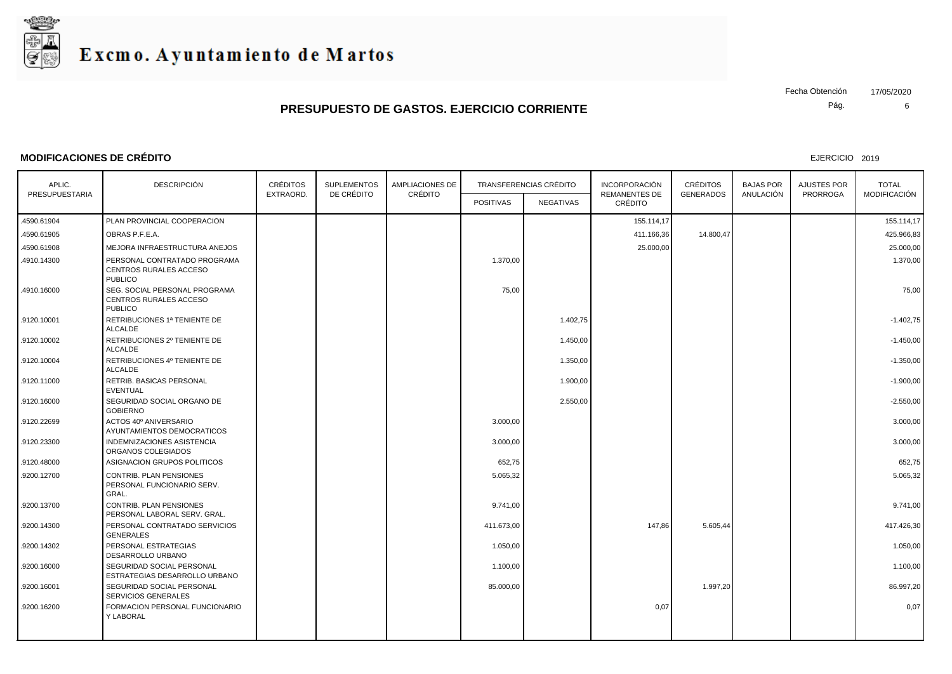

#### **MODIFICACIONES DE CRÉDITO**

EJERCICIO 2019

Pág. Fecha Obtención 17/05/2020

| APLIC.<br>PRESUPUESTARIA | <b>DESCRIPCIÓN</b>                                                        | <b>CRÉDITOS</b><br>EXTRAORD. | <b>SUPLEMENTOS</b><br>DE CRÉDITO | <b>AMPLIACIONES DE</b><br>CRÉDITO |                  | <b>TRANSFERENCIAS CRÉDITO</b> | <b>INCORPORACIÓN</b><br><b>REMANENTES DE</b> | <b>CRÉDITOS</b><br><b>GENERADOS</b> | <b>BAJAS POR</b><br>ANULACIÓN | AJUSTES POR<br><b>PRORROGA</b> | <b>TOTAL</b><br>MODIFICACIÓN |
|--------------------------|---------------------------------------------------------------------------|------------------------------|----------------------------------|-----------------------------------|------------------|-------------------------------|----------------------------------------------|-------------------------------------|-------------------------------|--------------------------------|------------------------------|
|                          |                                                                           |                              |                                  |                                   | <b>POSITIVAS</b> | <b>NEGATIVAS</b>              | CRÉDITO                                      |                                     |                               |                                |                              |
| 4590.61904               | PLAN PROVINCIAL COOPERACION                                               |                              |                                  |                                   |                  |                               | 155.114,17                                   |                                     |                               |                                | 155.114.17                   |
| 4590.61905               | OBRAS P.F.E.A.                                                            |                              |                                  |                                   |                  |                               | 411.166,36                                   | 14.800,47                           |                               |                                | 425.966,83                   |
| 4590.61908               | MEJORA INFRAESTRUCTURA ANEJOS                                             |                              |                                  |                                   |                  |                               | 25.000,00                                    |                                     |                               |                                | 25.000,00                    |
| 4910.14300               | PERSONAL CONTRATADO PROGRAMA<br>CENTROS RURALES ACCESO<br><b>PUBLICO</b>  |                              |                                  |                                   | 1.370,00         |                               |                                              |                                     |                               |                                | 1.370,00                     |
| 4910.16000               | SEG. SOCIAL PERSONAL PROGRAMA<br>CENTROS RURALES ACCESO<br><b>PUBLICO</b> |                              |                                  |                                   | 75,00            |                               |                                              |                                     |                               |                                | 75,00                        |
| .9120.10001              | RETRIBUCIONES 1ª TENIENTE DE<br><b>ALCALDE</b>                            |                              |                                  |                                   |                  | 1.402,75                      |                                              |                                     |                               |                                | $-1.402,75$                  |
| .9120.10002              | RETRIBUCIONES 2º TENIENTE DE<br><b>ALCALDE</b>                            |                              |                                  |                                   |                  | 1.450,00                      |                                              |                                     |                               |                                | $-1.450,00$                  |
| .9120.10004              | RETRIBUCIONES 4º TENIENTE DE<br><b>ALCALDE</b>                            |                              |                                  |                                   |                  | 1.350,00                      |                                              |                                     |                               |                                | $-1.350,00$                  |
| .9120.11000              | RETRIB. BASICAS PERSONAL<br>EVENTUAL                                      |                              |                                  |                                   |                  | 1.900,00                      |                                              |                                     |                               |                                | $-1.900,00$                  |
| .9120.16000              | SEGURIDAD SOCIAL ORGANO DE<br><b>GOBIERNO</b>                             |                              |                                  |                                   |                  | 2.550,00                      |                                              |                                     |                               |                                | $-2.550,00$                  |
| .9120.22699              | ACTOS 40° ANIVERSARIO<br>AYUNTAMIENTOS DEMOCRATICOS                       |                              |                                  |                                   | 3.000,00         |                               |                                              |                                     |                               |                                | 3.000,00                     |
| .9120.23300              | INDEMNIZACIONES ASISTENCIA<br>ORGANOS COLEGIADOS                          |                              |                                  |                                   | 3.000,00         |                               |                                              |                                     |                               |                                | 3.000,00                     |
| .9120.48000              | ASIGNACION GRUPOS POLITICOS                                               |                              |                                  |                                   | 652,75           |                               |                                              |                                     |                               |                                | 652,75                       |
| .9200.12700              | CONTRIB. PLAN PENSIONES<br>PERSONAL FUNCIONARIO SERV.<br>GRAL.            |                              |                                  |                                   | 5.065,32         |                               |                                              |                                     |                               |                                | 5.065,32                     |
| .9200.13700              | CONTRIB. PLAN PENSIONES<br>PERSONAL LABORAL SERV. GRAL.                   |                              |                                  |                                   | 9.741,00         |                               |                                              |                                     |                               |                                | 9.741,00                     |
| .9200.14300              | PERSONAL CONTRATADO SERVICIOS<br><b>GENERALES</b>                         |                              |                                  |                                   | 411.673,00       |                               | 147,86                                       | 5.605,44                            |                               |                                | 417.426,30                   |
| .9200.14302              | PERSONAL ESTRATEGIAS<br>DESARROLLO URBANO                                 |                              |                                  |                                   | 1.050,00         |                               |                                              |                                     |                               |                                | 1.050,00                     |
| .9200.16000              | SEGURIDAD SOCIAL PERSONAL<br>ESTRATEGIAS DESARROLLO URBANO                |                              |                                  |                                   | 1.100,00         |                               |                                              |                                     |                               |                                | 1.100,00                     |
| .9200.16001              | SEGURIDAD SOCIAL PERSONAL<br><b>SERVICIOS GENERALES</b>                   |                              |                                  |                                   | 85.000,00        |                               |                                              | 1.997,20                            |                               |                                | 86.997,20                    |
| .9200.16200              | FORMACION PERSONAL FUNCIONARIO<br><b>Y LABORAL</b>                        |                              |                                  |                                   |                  |                               | 0,07                                         |                                     |                               |                                | 0,07                         |
|                          |                                                                           |                              |                                  |                                   |                  |                               |                                              |                                     |                               |                                |                              |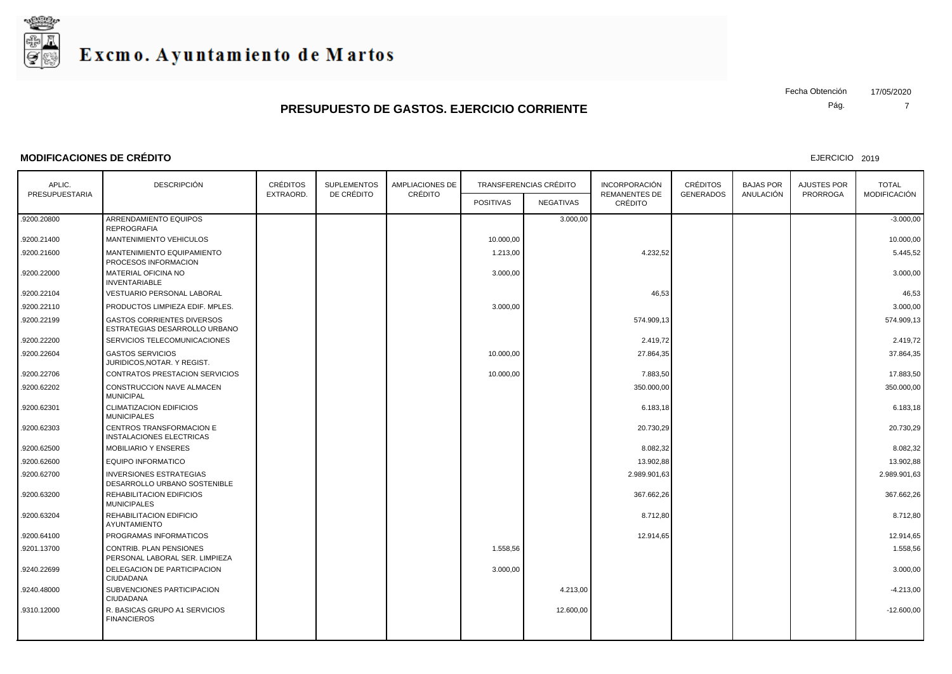

#### **MODIFICACIONES DE CRÉDITO**

EJERCICIO 2019

Pág.

| APLIC.         | <b>DESCRIPCIÓN</b>                                                 | <b>CRÉDITOS</b> | <b>SUPLEMENTOS</b><br>DE CRÉDITO | <b>AMPLIACIONES DE</b><br>CRÉDITO |                  | <b>TRANSFERENCIAS CRÉDITO</b> | <b>INCORPORACIÓN</b>            | <b>CRÉDITOS</b>  | <b>BAJAS POR</b> | AJUSTES POR     | <b>TOTAL</b>        |
|----------------|--------------------------------------------------------------------|-----------------|----------------------------------|-----------------------------------|------------------|-------------------------------|---------------------------------|------------------|------------------|-----------------|---------------------|
| PRESUPUESTARIA |                                                                    | EXTRAORD.       |                                  |                                   | <b>POSITIVAS</b> | <b>NEGATIVAS</b>              | <b>REMANENTES DE</b><br>CRÉDITO | <b>GENERADOS</b> | ANULACIÓN        | <b>PRORROGA</b> | <b>MODIFICACIÓN</b> |
| .9200.20800    | ARRENDAMIENTO EQUIPOS<br><b>REPROGRAFIA</b>                        |                 |                                  |                                   |                  | 3.000,00                      |                                 |                  |                  |                 | $-3.000,00$         |
| .9200.21400    | <b>MANTENIMIENTO VEHICULOS</b>                                     |                 |                                  |                                   | 10.000.00        |                               |                                 |                  |                  |                 | 10.000,00           |
| .9200.21600    | MANTENIMIENTO EQUIPAMIENTO<br>PROCESOS INFORMACION                 |                 |                                  |                                   | 1.213,00         |                               | 4.232,52                        |                  |                  |                 | 5.445,52            |
| .9200.22000    | MATERIAL OFICINA NO<br><b>INVENTARIABLE</b>                        |                 |                                  |                                   | 3.000,00         |                               |                                 |                  |                  |                 | 3.000,00            |
| .9200.22104    | VESTUARIO PERSONAL LABORAL                                         |                 |                                  |                                   |                  |                               | 46,53                           |                  |                  |                 | 46,53               |
| .9200.22110    | PRODUCTOS LIMPIEZA EDIF. MPLES.                                    |                 |                                  |                                   | 3.000,00         |                               |                                 |                  |                  |                 | 3.000,00            |
| .9200.22199    | <b>GASTOS CORRIENTES DIVERSOS</b><br>ESTRATEGIAS DESARROLLO URBANO |                 |                                  |                                   |                  |                               | 574.909.13                      |                  |                  |                 | 574.909.13          |
| .9200.22200    | SERVICIOS TELECOMUNICACIONES                                       |                 |                                  |                                   |                  |                               | 2.419,72                        |                  |                  |                 | 2.419,72            |
| .9200.22604    | <b>GASTOS SERVICIOS</b><br>JURIDICOS, NOTAR. Y REGIST.             |                 |                                  |                                   | 10.000,00        |                               | 27.864,35                       |                  |                  |                 | 37.864,35           |
| .9200.22706    | <b>CONTRATOS PRESTACION SERVICIOS</b>                              |                 |                                  |                                   | 10.000,00        |                               | 7.883,50                        |                  |                  |                 | 17.883,50           |
| .9200.62202    | CONSTRUCCION NAVE ALMACEN<br><b>MUNICIPAL</b>                      |                 |                                  |                                   |                  |                               | 350.000,00                      |                  |                  |                 | 350.000,00          |
| .9200.62301    | <b>CLIMATIZACION EDIFICIOS</b><br><b>MUNICIPALES</b>               |                 |                                  |                                   |                  |                               | 6.183,18                        |                  |                  |                 | 6.183,18            |
| .9200.62303    | CENTROS TRANSFORMACION E<br>INSTALACIONES ELECTRICAS               |                 |                                  |                                   |                  |                               | 20.730,29                       |                  |                  |                 | 20.730,29           |
| .9200.62500    | <b>MOBILIARIO Y ENSERES</b>                                        |                 |                                  |                                   |                  |                               | 8.082,32                        |                  |                  |                 | 8.082,32            |
| .9200.62600    | <b>EQUIPO INFORMATICO</b>                                          |                 |                                  |                                   |                  |                               | 13.902,88                       |                  |                  |                 | 13.902,88           |
| .9200.62700    | <b>INVERSIONES ESTRATEGIAS</b><br>DESARROLLO URBANO SOSTENIBLE     |                 |                                  |                                   |                  |                               | 2.989.901,63                    |                  |                  |                 | 2.989.901,63        |
| .9200.63200    | REHABILITACION EDIFICIOS<br><b>MUNICIPALES</b>                     |                 |                                  |                                   |                  |                               | 367.662,26                      |                  |                  |                 | 367.662,26          |
| .9200.63204    | REHABILITACION EDIFICIO<br>AYUNTAMIENTO                            |                 |                                  |                                   |                  |                               | 8.712,80                        |                  |                  |                 | 8.712,80            |
| .9200.64100    | PROGRAMAS INFORMATICOS                                             |                 |                                  |                                   |                  |                               | 12.914,65                       |                  |                  |                 | 12.914,65           |
| .9201.13700    | <b>CONTRIB. PLAN PENSIONES</b><br>PERSONAL LABORAL SER. LIMPIEZA   |                 |                                  |                                   | 1.558.56         |                               |                                 |                  |                  |                 | 1.558.56            |
| .9240.22699    | DELEGACION DE PARTICIPACION<br>CIUDADANA                           |                 |                                  |                                   | 3.000,00         |                               |                                 |                  |                  |                 | 3.000,00            |
| .9240.48000    | SUBVENCIONES PARTICIPACION<br>CIUDADANA                            |                 |                                  |                                   |                  | 4.213,00                      |                                 |                  |                  |                 | $-4.213,00$         |
| .9310.12000    | R. BASICAS GRUPO A1 SERVICIOS<br><b>FINANCIEROS</b>                |                 |                                  |                                   |                  | 12.600,00                     |                                 |                  |                  |                 | $-12.600,00$        |

Fecha Obtención 17/05/2020